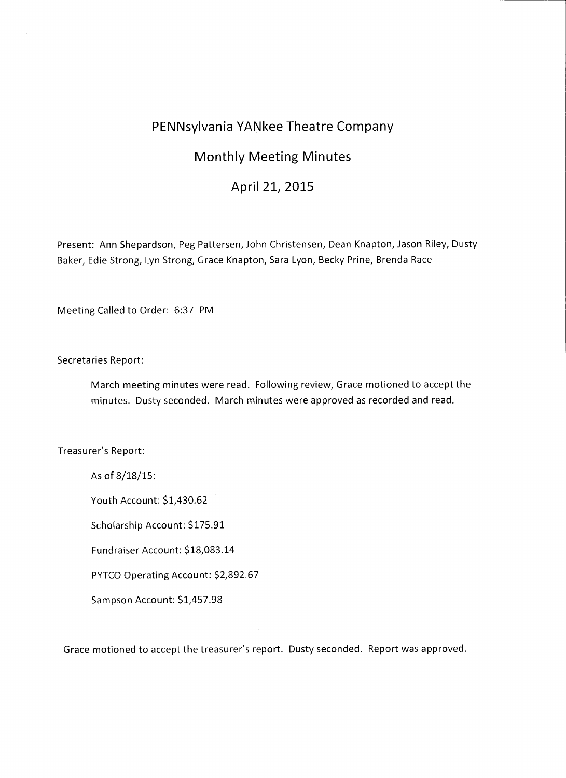## **PENNsylvania YANkee Theatre Company**

## **Monthly Meeting Minutes**

## **April 21, 2015**

Present: Ann Shepardson, Peg Pattersen, John Christensen, Dean Knapton, Jason Riley, Dusty Baker, Edie Strong, Lyn Strong, Grace Knapton, Sara Lyon, Becky Prine, Brenda Race

Meeting Called to Order: 6:37 PM

## Secretaries Report:

March meeting minutes were read. Following review, Grace motioned to accept the minutes. Dusty seconded. March minutes were approved as recorded and read.

Treasurer's Report:

As of 8/18/15:

Youth Account: \$1,430.62

Scholarship Account: \$175.91

Fundraiser Account: \$18,083.14

PYTCO Operating Account: \$2,892.67

Sampson Account: \$1,457.98

Grace motioned to accept the treasurer's report. Dusty seconded. Report was approved.